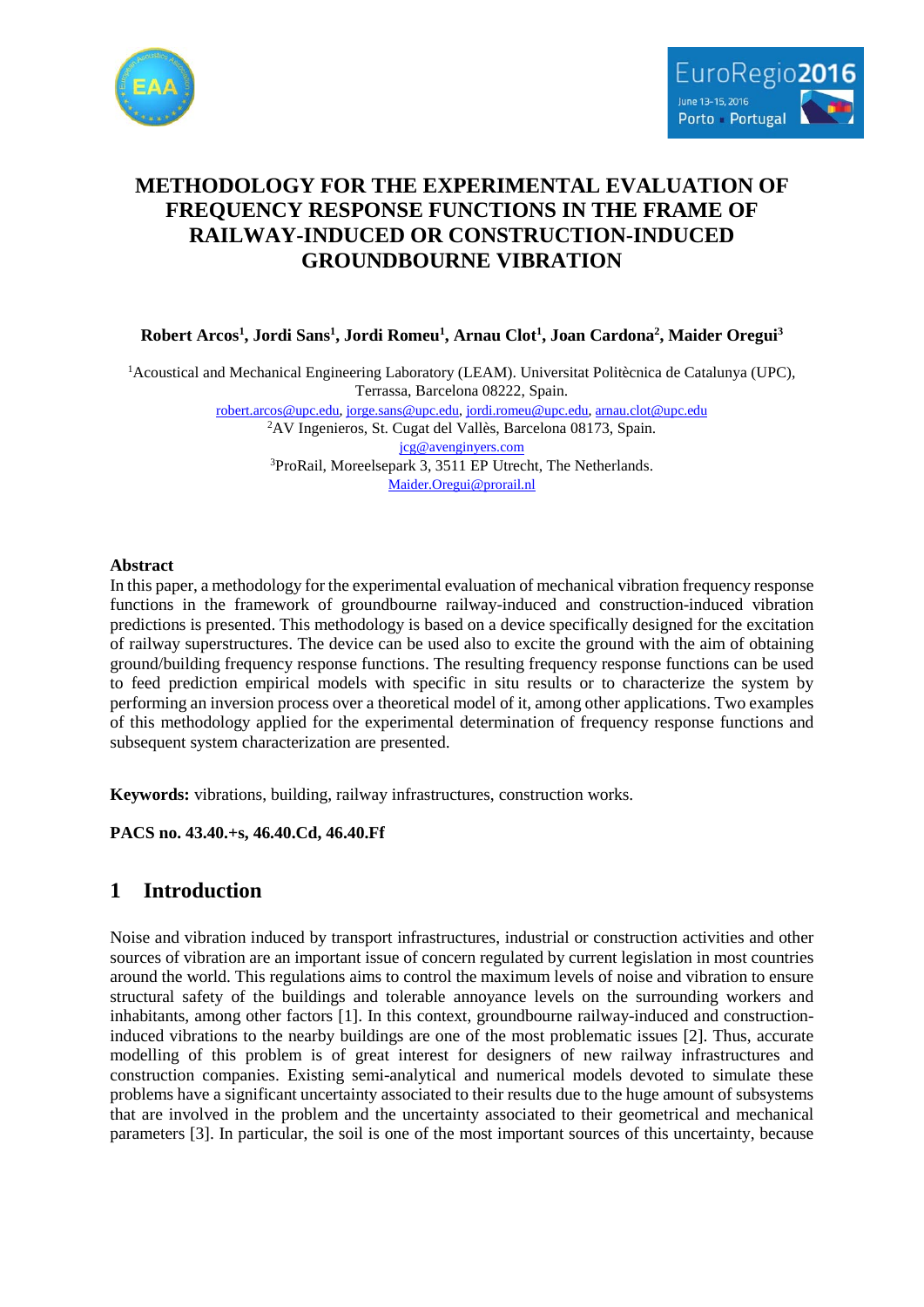



# **METHODOLOGY FOR THE EXPERIMENTAL EVALUATION OF FREQUENCY RESPONSE FUNCTIONS IN THE FRAME OF RAILWAY-INDUCED OR CONSTRUCTION-INDUCED GROUNDBOURNE VIBRATION**

**Robert Arcos1 , Jordi Sans1 , Jordi Romeu1 , Arnau Clot1 , Joan Cardona2 , Maider Oregui3**

<sup>1</sup> Acoustical and Mechanical Engineering Laboratory (LEAM). Universitat Politècnica de Catalunya (UPC), Terrassa, Barcelona 08222, Spain. [robert.arcos@upc.edu,](mailto:robert.arcos@upc.edu) [jorge.sans@upc.edu,](mailto:jorge.sans@upc.edu) [jordi.romeu@upc.edu,](mailto:jordi.romeu@upc.edu) [arnau.clot@upc.edu](mailto:arnau.clot@upc.edu) 2 AV Ingenieros, St. Cugat del Vallès, Barcelona 08173, Spain. [jcg@avenginyers.com](mailto:jcg@avenginyers.com) 3 ProRail, Moreelsepark 3, 3511 EP Utrecht, The Netherlands. [Maider.Oregui@prorail.nl](mailto:Maider.Oregui@prorail.nl)

### **Abstract**

In this paper, a methodology for the experimental evaluation of mechanical vibration frequency response functions in the framework of groundbourne railway-induced and construction-induced vibration predictions is presented. This methodology is based on a device specifically designed for the excitation of railway superstructures. The device can be used also to excite the ground with the aim of obtaining ground/building frequency response functions. The resulting frequency response functions can be used to feed prediction empirical models with specific in situ results or to characterize the system by performing an inversion process over a theoretical model of it, among other applications. Two examples of this methodology applied for the experimental determination of frequency response functions and subsequent system characterization are presented.

**Keywords:** vibrations, building, railway infrastructures, construction works.

**PACS no. 43.40.+s, 46.40.Cd, 46.40.Ff**

## **1 Introduction**

Noise and vibration induced by transport infrastructures, industrial or construction activities and other sources of vibration are an important issue of concern regulated by current legislation in most countries around the world. This regulations aims to control the maximum levels of noise and vibration to ensure structural safety of the buildings and tolerable annoyance levels on the surrounding workers and inhabitants, among other factors [1]. In this context, groundbourne railway-induced and constructioninduced vibrations to the nearby buildings are one of the most problematic issues [2]. Thus, accurate modelling of this problem is of great interest for designers of new railway infrastructures and construction companies. Existing semi-analytical and numerical models devoted to simulate these problems have a significant uncertainty associated to their results due to the huge amount of subsystems that are involved in the problem and the uncertainty associated to their geometrical and mechanical parameters [3]. In particular, the soil is one of the most important sources of this uncertainty, because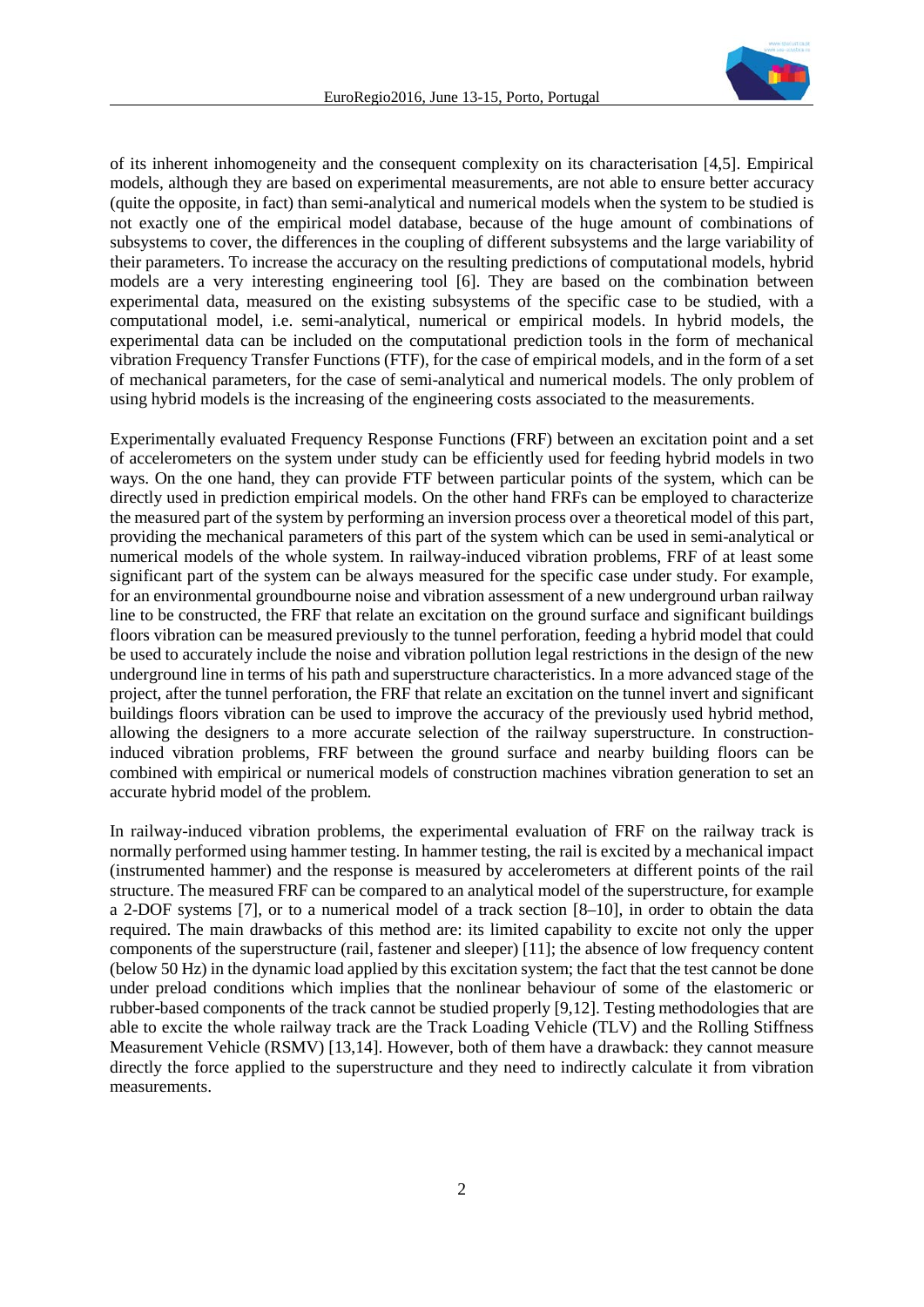

of its inherent inhomogeneity and the consequent complexity on its characterisation [4,5]. Empirical models, although they are based on experimental measurements, are not able to ensure better accuracy (quite the opposite, in fact) than semi-analytical and numerical models when the system to be studied is not exactly one of the empirical model database, because of the huge amount of combinations of subsystems to cover, the differences in the coupling of different subsystems and the large variability of their parameters. To increase the accuracy on the resulting predictions of computational models, hybrid models are a very interesting engineering tool [6]. They are based on the combination between experimental data, measured on the existing subsystems of the specific case to be studied, with a computational model, i.e. semi-analytical, numerical or empirical models. In hybrid models, the experimental data can be included on the computational prediction tools in the form of mechanical vibration Frequency Transfer Functions (FTF), for the case of empirical models, and in the form of a set of mechanical parameters, for the case of semi-analytical and numerical models. The only problem of using hybrid models is the increasing of the engineering costs associated to the measurements.

Experimentally evaluated Frequency Response Functions (FRF) between an excitation point and a set of accelerometers on the system under study can be efficiently used for feeding hybrid models in two ways. On the one hand, they can provide FTF between particular points of the system, which can be directly used in prediction empirical models. On the other hand FRFs can be employed to characterize the measured part of the system by performing an inversion process over a theoretical model of this part, providing the mechanical parameters of this part of the system which can be used in semi-analytical or numerical models of the whole system. In railway-induced vibration problems, FRF of at least some significant part of the system can be always measured for the specific case under study. For example, for an environmental groundbourne noise and vibration assessment of a new underground urban railway line to be constructed, the FRF that relate an excitation on the ground surface and significant buildings floors vibration can be measured previously to the tunnel perforation, feeding a hybrid model that could be used to accurately include the noise and vibration pollution legal restrictions in the design of the new underground line in terms of his path and superstructure characteristics. In a more advanced stage of the project, after the tunnel perforation, the FRF that relate an excitation on the tunnel invert and significant buildings floors vibration can be used to improve the accuracy of the previously used hybrid method, allowing the designers to a more accurate selection of the railway superstructure. In constructioninduced vibration problems, FRF between the ground surface and nearby building floors can be combined with empirical or numerical models of construction machines vibration generation to set an accurate hybrid model of the problem.

In railway-induced vibration problems, the experimental evaluation of FRF on the railway track is normally performed using hammer testing. In hammer testing, the rail is excited by a mechanical impact (instrumented hammer) and the response is measured by accelerometers at different points of the rail structure. The measured FRF can be compared to an analytical model of the superstructure, for example a 2-DOF systems [7], or to a numerical model of a track section [8–10], in order to obtain the data required. The main drawbacks of this method are: its limited capability to excite not only the upper components of the superstructure (rail, fastener and sleeper) [11]; the absence of low frequency content (below 50 Hz) in the dynamic load applied by this excitation system; the fact that the test cannot be done under preload conditions which implies that the nonlinear behaviour of some of the elastomeric or rubber-based components of the track cannot be studied properly [9,12]. Testing methodologies that are able to excite the whole railway track are the Track Loading Vehicle (TLV) and the Rolling Stiffness Measurement Vehicle (RSMV) [13,14]. However, both of them have a drawback: they cannot measure directly the force applied to the superstructure and they need to indirectly calculate it from vibration measurements.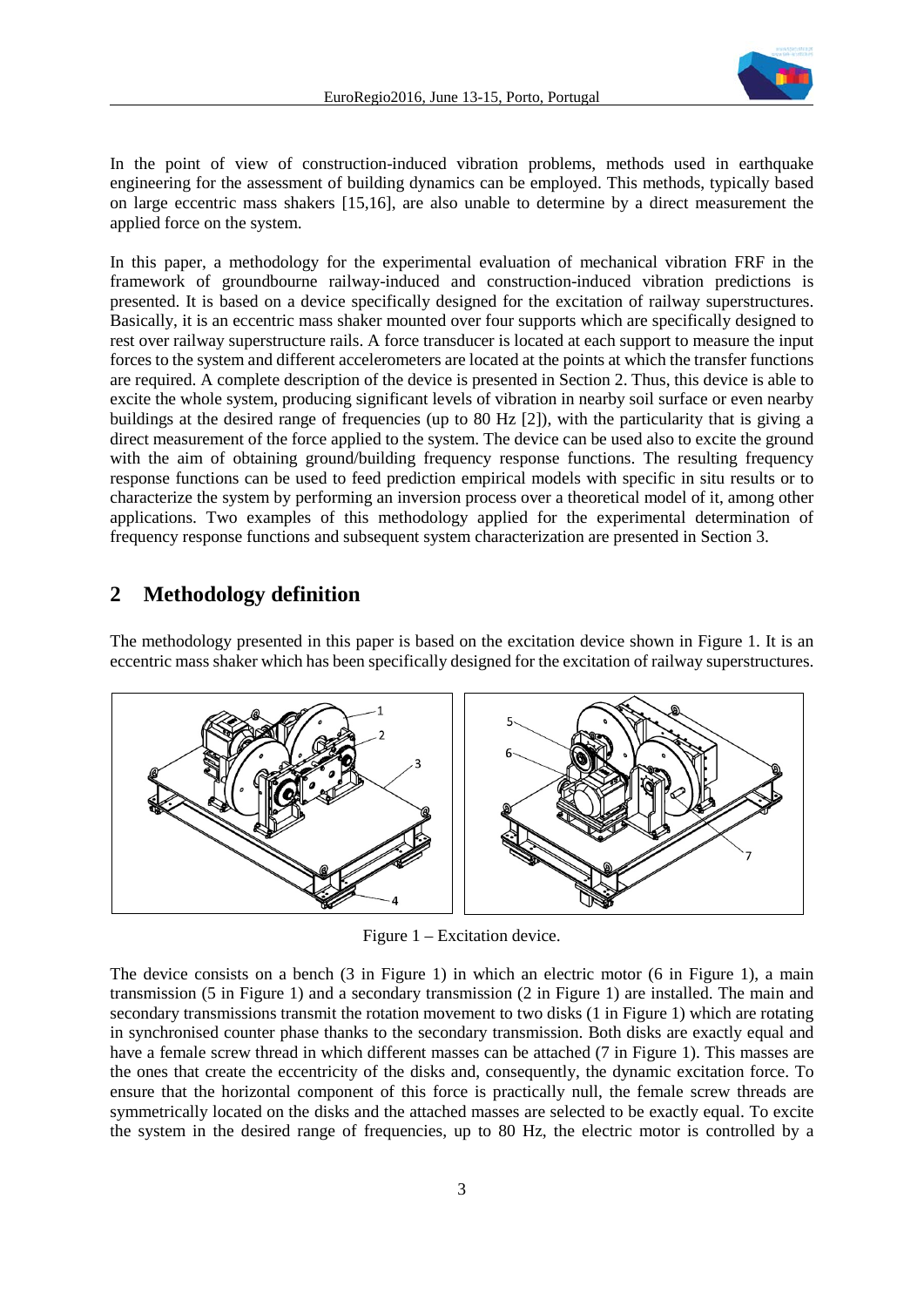

In the point of view of construction-induced vibration problems, methods used in earthquake engineering for the assessment of building dynamics can be employed. This methods, typically based on large eccentric mass shakers [15,16], are also unable to determine by a direct measurement the applied force on the system.

In this paper, a methodology for the experimental evaluation of mechanical vibration FRF in the framework of groundbourne railway-induced and construction-induced vibration predictions is presented. It is based on a device specifically designed for the excitation of railway superstructures. Basically, it is an eccentric mass shaker mounted over four supports which are specifically designed to rest over railway superstructure rails. A force transducer is located at each support to measure the input forces to the system and different accelerometers are located at the points at which the transfer functions are required. A complete description of the device is presented in Section 2. Thus, this device is able to excite the whole system, producing significant levels of vibration in nearby soil surface or even nearby buildings at the desired range of frequencies (up to 80 Hz [2]), with the particularity that is giving a direct measurement of the force applied to the system. The device can be used also to excite the ground with the aim of obtaining ground/building frequency response functions. The resulting frequency response functions can be used to feed prediction empirical models with specific in situ results or to characterize the system by performing an inversion process over a theoretical model of it, among other applications. Two examples of this methodology applied for the experimental determination of frequency response functions and subsequent system characterization are presented in Section 3.

## **2 Methodology definition**

The methodology presented in this paper is based on the excitation device shown in Figure 1. It is an eccentric mass shaker which has been specifically designed for the excitation of railway superstructures.



Figure 1 – Excitation device.

The device consists on a bench (3 in Figure 1) in which an electric motor (6 in Figure 1), a main transmission (5 in Figure 1) and a secondary transmission (2 in Figure 1) are installed. The main and secondary transmissions transmit the rotation movement to two disks (1 in Figure 1) which are rotating in synchronised counter phase thanks to the secondary transmission. Both disks are exactly equal and have a female screw thread in which different masses can be attached (7 in Figure 1). This masses are the ones that create the eccentricity of the disks and, consequently, the dynamic excitation force. To ensure that the horizontal component of this force is practically null, the female screw threads are symmetrically located on the disks and the attached masses are selected to be exactly equal. To excite the system in the desired range of frequencies, up to 80 Hz, the electric motor is controlled by a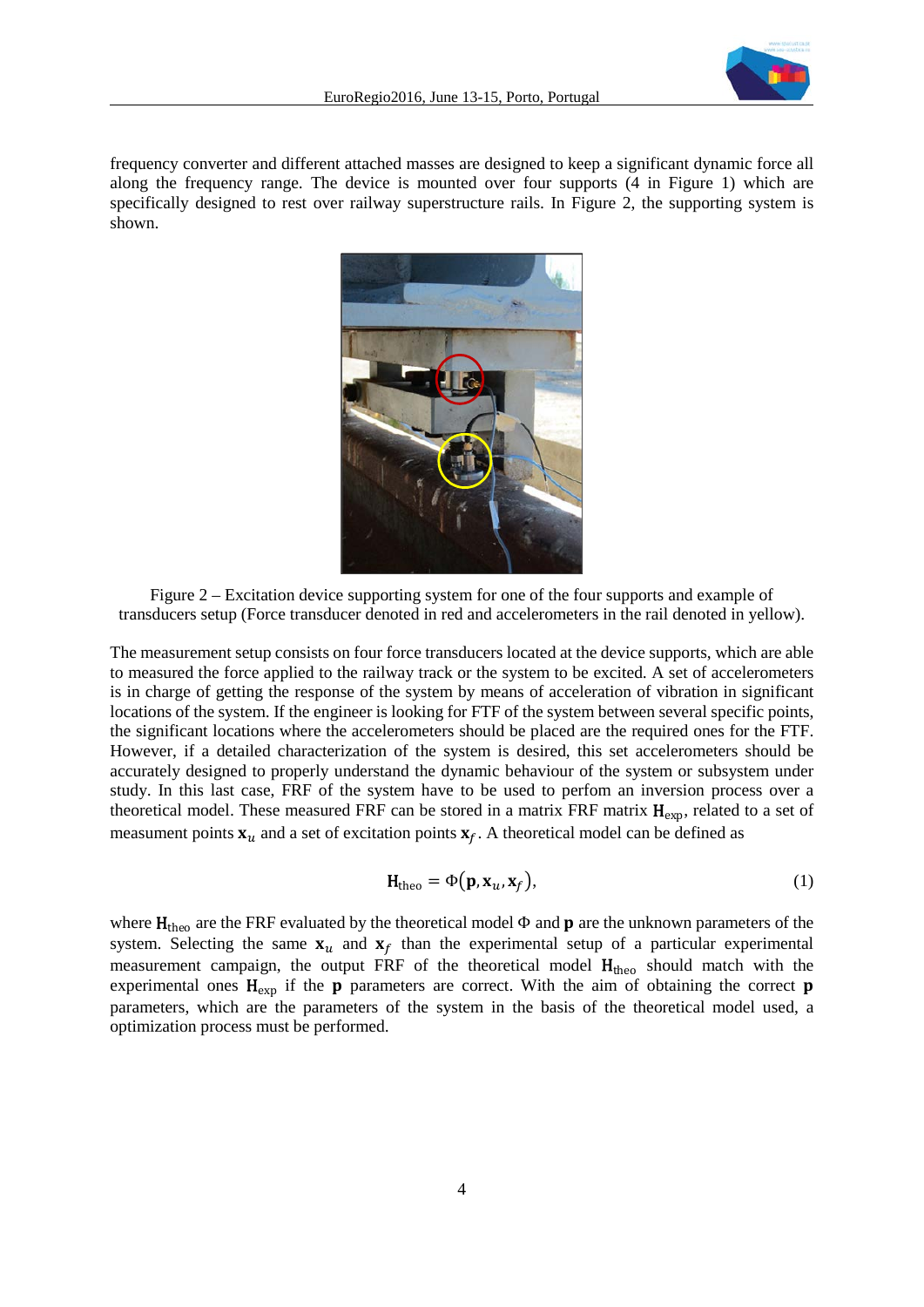

frequency converter and different attached masses are designed to keep a significant dynamic force all along the frequency range. The device is mounted over four supports (4 in Figure 1) which are specifically designed to rest over railway superstructure rails. In Figure 2, the supporting system is shown.



Figure 2 – Excitation device supporting system for one of the four supports and example of transducers setup (Force transducer denoted in red and accelerometers in the rail denoted in yellow).

The measurement setup consists on four force transducers located at the device supports, which are able to measured the force applied to the railway track or the system to be excited. A set of accelerometers is in charge of getting the response of the system by means of acceleration of vibration in significant locations of the system. If the engineer is looking for FTF of the system between several specific points, the significant locations where the accelerometers should be placed are the required ones for the FTF. However, if a detailed characterization of the system is desired, this set accelerometers should be accurately designed to properly understand the dynamic behaviour of the system or subsystem under study. In this last case, FRF of the system have to be used to perfom an inversion process over a theoretical model. These measured FRF can be stored in a matrix FRF matrix  $H_{\text{exn}}$ , related to a set of measument points  $x_u$  and a set of excitation points  $x_f$ . A theoretical model can be defined as

$$
\mathbf{H}_{\text{theo}} = \Phi(\mathbf{p}, \mathbf{x}_u, \mathbf{x}_f),\tag{1}
$$

where  $H_{\text{theo}}$  are the FRF evaluated by the theoretical model  $\Phi$  and  $p$  are the unknown parameters of the system. Selecting the same  $x_u$  and  $x_f$  than the experimental setup of a particular experimental measurement campaign, the output FRF of the theoretical model  $H_{theo}$  should match with the experimental ones  $H_{\text{exp}}$  if the **p** parameters are correct. With the aim of obtaining the correct **p** parameters, which are the parameters of the system in the basis of the theoretical model used, a optimization process must be performed.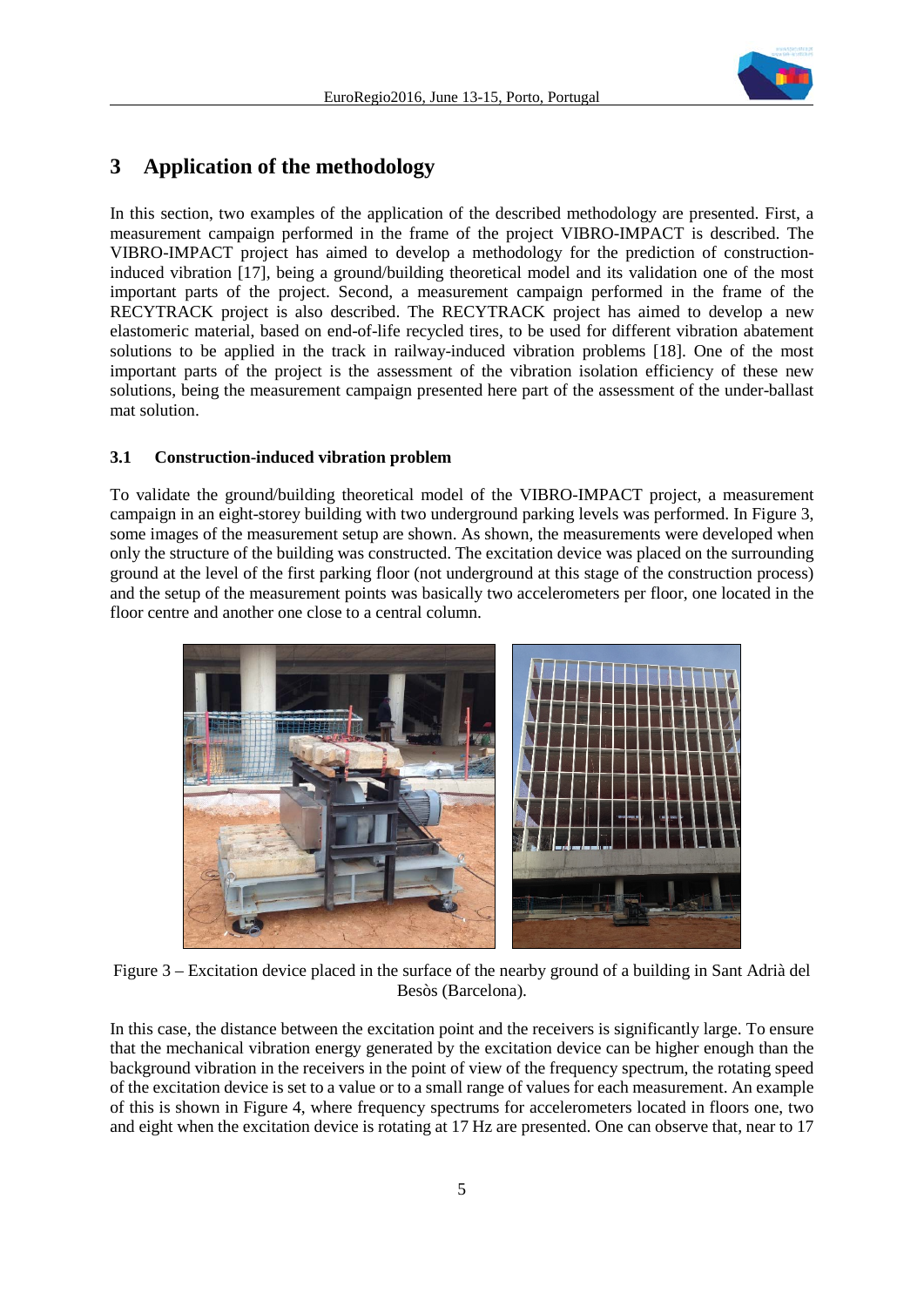

# **3 Application of the methodology**

In this section, two examples of the application of the described methodology are presented. First, a measurement campaign performed in the frame of the project VIBRO-IMPACT is described. The VIBRO-IMPACT project has aimed to develop a methodology for the prediction of constructioninduced vibration [17], being a ground/building theoretical model and its validation one of the most important parts of the project. Second, a measurement campaign performed in the frame of the RECYTRACK project is also described. The RECYTRACK project has aimed to develop a new elastomeric material, based on end-of-life recycled tires, to be used for different vibration abatement solutions to be applied in the track in railway-induced vibration problems [18]. One of the most important parts of the project is the assessment of the vibration isolation efficiency of these new solutions, being the measurement campaign presented here part of the assessment of the under-ballast mat solution.

### **3.1 Construction-induced vibration problem**

To validate the ground/building theoretical model of the VIBRO-IMPACT project, a measurement campaign in an eight-storey building with two underground parking levels was performed. In Figure 3, some images of the measurement setup are shown. As shown, the measurements were developed when only the structure of the building was constructed. The excitation device was placed on the surrounding ground at the level of the first parking floor (not underground at this stage of the construction process) and the setup of the measurement points was basically two accelerometers per floor, one located in the floor centre and another one close to a central column.



Figure 3 – Excitation device placed in the surface of the nearby ground of a building in Sant Adrià del Besòs (Barcelona).

In this case, the distance between the excitation point and the receivers is significantly large. To ensure that the mechanical vibration energy generated by the excitation device can be higher enough than the background vibration in the receivers in the point of view of the frequency spectrum, the rotating speed of the excitation device is set to a value or to a small range of values for each measurement. An example of this is shown in Figure 4, where frequency spectrums for accelerometers located in floors one, two and eight when the excitation device is rotating at 17 Hz are presented. One can observe that, near to 17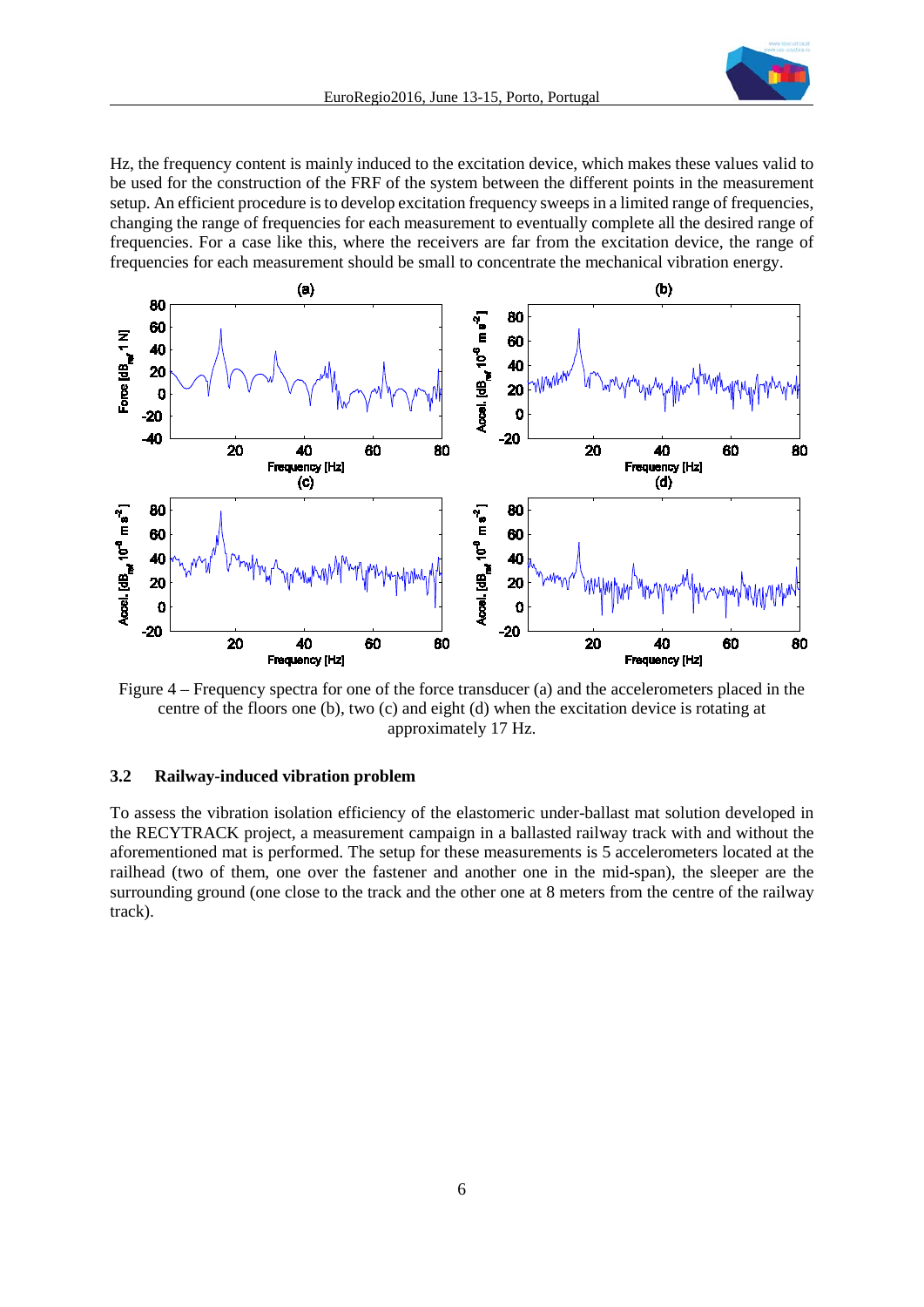

Hz, the frequency content is mainly induced to the excitation device, which makes these values valid to be used for the construction of the FRF of the system between the different points in the measurement setup. An efficient procedure is to develop excitation frequency sweeps in a limited range of frequencies, changing the range of frequencies for each measurement to eventually complete all the desired range of frequencies. For a case like this, where the receivers are far from the excitation device, the range of frequencies for each measurement should be small to concentrate the mechanical vibration energy.



Figure 4 – Frequency spectra for one of the force transducer (a) and the accelerometers placed in the centre of the floors one (b), two (c) and eight (d) when the excitation device is rotating at approximately 17 Hz.

#### **3.2 Railway-induced vibration problem**

To assess the vibration isolation efficiency of the elastomeric under-ballast mat solution developed in the RECYTRACK project, a measurement campaign in a ballasted railway track with and without the aforementioned mat is performed. The setup for these measurements is 5 accelerometers located at the railhead (two of them, one over the fastener and another one in the mid-span), the sleeper are the surrounding ground (one close to the track and the other one at 8 meters from the centre of the railway track).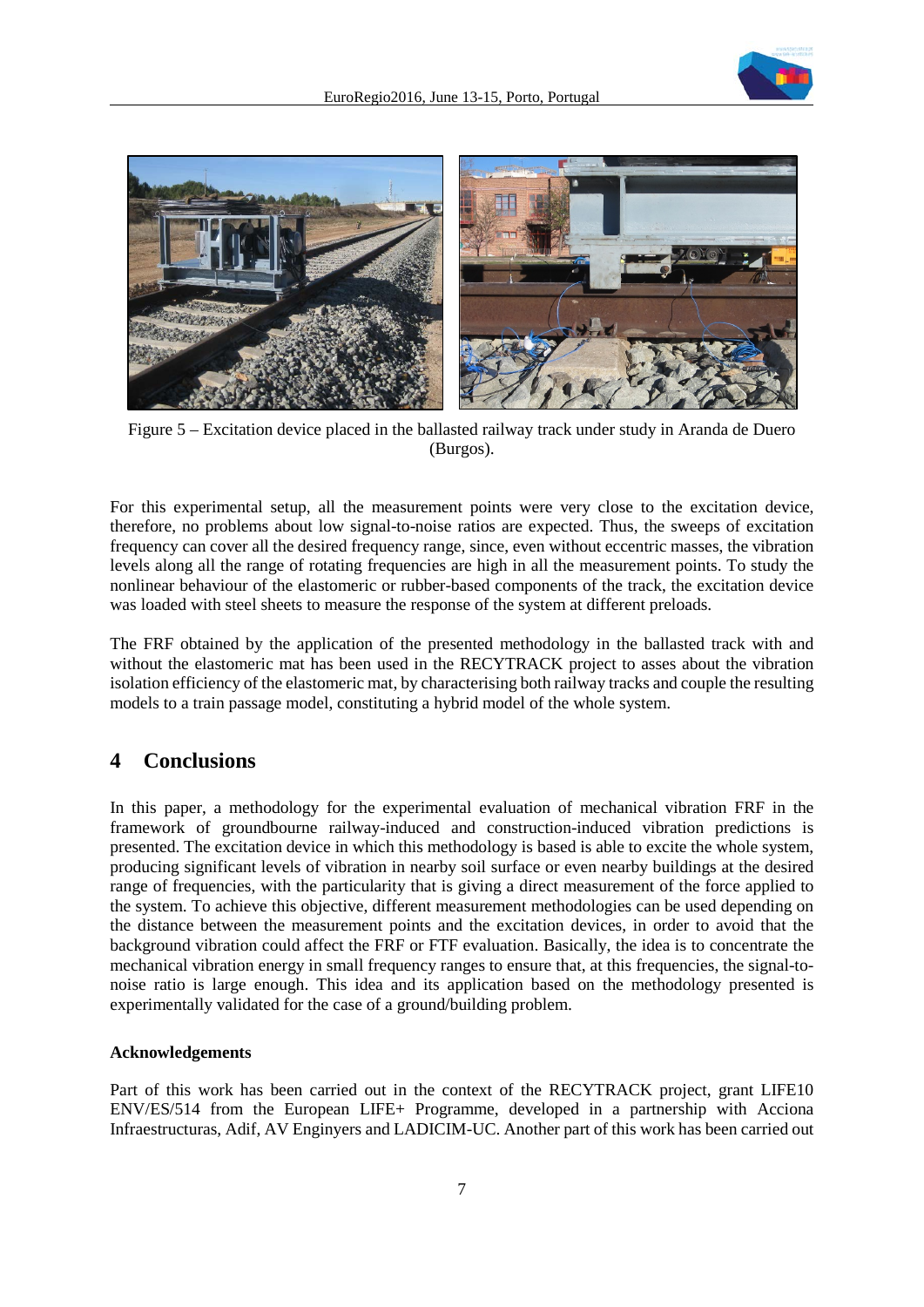



Figure 5 – Excitation device placed in the ballasted railway track under study in Aranda de Duero (Burgos).

For this experimental setup, all the measurement points were very close to the excitation device, therefore, no problems about low signal-to-noise ratios are expected. Thus, the sweeps of excitation frequency can cover all the desired frequency range, since, even without eccentric masses, the vibration levels along all the range of rotating frequencies are high in all the measurement points. To study the nonlinear behaviour of the elastomeric or rubber-based components of the track, the excitation device was loaded with steel sheets to measure the response of the system at different preloads.

The FRF obtained by the application of the presented methodology in the ballasted track with and without the elastomeric mat has been used in the RECYTRACK project to asses about the vibration isolation efficiency of the elastomeric mat, by characterising both railway tracks and couple the resulting models to a train passage model, constituting a hybrid model of the whole system.

# **4 Conclusions**

In this paper, a methodology for the experimental evaluation of mechanical vibration FRF in the framework of groundbourne railway-induced and construction-induced vibration predictions is presented. The excitation device in which this methodology is based is able to excite the whole system, producing significant levels of vibration in nearby soil surface or even nearby buildings at the desired range of frequencies, with the particularity that is giving a direct measurement of the force applied to the system. To achieve this objective, different measurement methodologies can be used depending on the distance between the measurement points and the excitation devices, in order to avoid that the background vibration could affect the FRF or FTF evaluation. Basically, the idea is to concentrate the mechanical vibration energy in small frequency ranges to ensure that, at this frequencies, the signal-tonoise ratio is large enough. This idea and its application based on the methodology presented is experimentally validated for the case of a ground/building problem.

### **Acknowledgements**

Part of this work has been carried out in the context of the RECYTRACK project, grant LIFE10 ENV/ES/514 from the European LIFE+ Programme, developed in a partnership with Acciona Infraestructuras, Adif, AV Enginyers and LADICIM-UC. Another part of this work has been carried out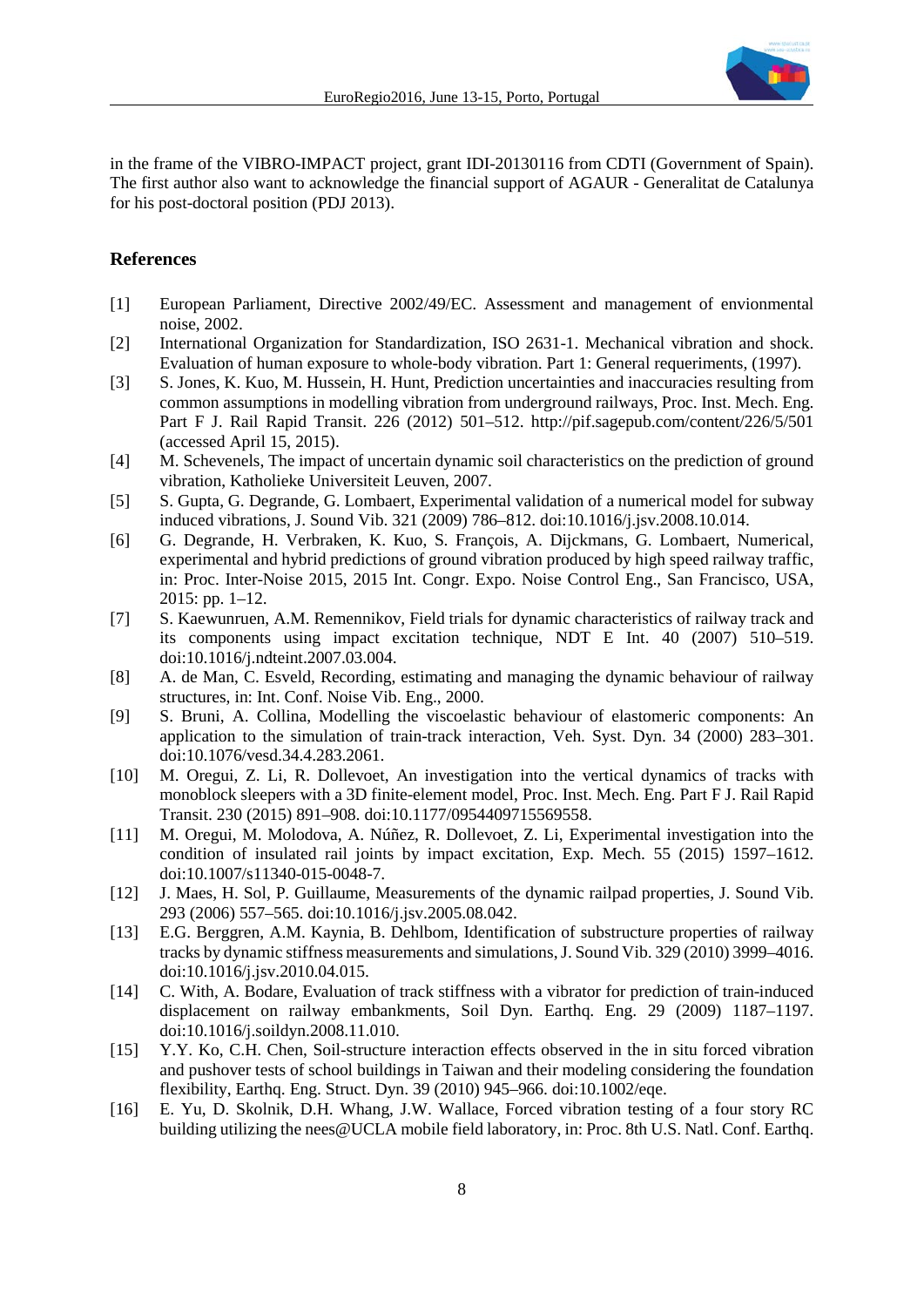

in the frame of the VIBRO-IMPACT project, grant IDI-20130116 from CDTI (Government of Spain). The first author also want to acknowledge the financial support of AGAUR - Generalitat de Catalunya for his post-doctoral position (PDJ 2013).

### **References**

- [1] European Parliament, Directive 2002/49/EC. Assessment and management of envionmental noise, 2002.
- [2] International Organization for Standardization, ISO 2631-1. Mechanical vibration and shock. Evaluation of human exposure to whole-body vibration. Part 1: General requeriments, (1997).
- [3] S. Jones, K. Kuo, M. Hussein, H. Hunt, Prediction uncertainties and inaccuracies resulting from common assumptions in modelling vibration from underground railways, Proc. Inst. Mech. Eng. Part F J. Rail Rapid Transit. 226 (2012) 501–512. http://pif.sagepub.com/content/226/5/501 (accessed April 15, 2015).
- [4] M. Schevenels, The impact of uncertain dynamic soil characteristics on the prediction of ground vibration, Katholieke Universiteit Leuven, 2007.
- [5] S. Gupta, G. Degrande, G. Lombaert, Experimental validation of a numerical model for subway induced vibrations, J. Sound Vib. 321 (2009) 786–812. doi:10.1016/j.jsv.2008.10.014.
- [6] G. Degrande, H. Verbraken, K. Kuo, S. François, A. Dijckmans, G. Lombaert, Numerical, experimental and hybrid predictions of ground vibration produced by high speed railway traffic, in: Proc. Inter-Noise 2015, 2015 Int. Congr. Expo. Noise Control Eng., San Francisco, USA, 2015: pp. 1–12.
- [7] S. Kaewunruen, A.M. Remennikov, Field trials for dynamic characteristics of railway track and its components using impact excitation technique, NDT E Int. 40 (2007) 510–519. doi:10.1016/j.ndteint.2007.03.004.
- [8] A. de Man, C. Esveld, Recording, estimating and managing the dynamic behaviour of railway structures, in: Int. Conf. Noise Vib. Eng., 2000.
- [9] S. Bruni, A. Collina, Modelling the viscoelastic behaviour of elastomeric components: An application to the simulation of train-track interaction, Veh. Syst. Dyn. 34 (2000) 283–301. doi:10.1076/vesd.34.4.283.2061.
- [10] M. Oregui, Z. Li, R. Dollevoet, An investigation into the vertical dynamics of tracks with monoblock sleepers with a 3D finite-element model, Proc. Inst. Mech. Eng. Part F J. Rail Rapid Transit. 230 (2015) 891–908. doi:10.1177/0954409715569558.
- [11] M. Oregui, M. Molodova, A. Núñez, R. Dollevoet, Z. Li, Experimental investigation into the condition of insulated rail joints by impact excitation, Exp. Mech. 55 (2015) 1597–1612. doi:10.1007/s11340-015-0048-7.
- [12] J. Maes, H. Sol, P. Guillaume, Measurements of the dynamic railpad properties, J. Sound Vib. 293 (2006) 557–565. doi:10.1016/j.jsv.2005.08.042.
- [13] E.G. Berggren, A.M. Kaynia, B. Dehlbom, Identification of substructure properties of railway tracks by dynamic stiffness measurements and simulations, J. Sound Vib. 329 (2010) 3999–4016. doi:10.1016/j.jsv.2010.04.015.
- [14] C. With, A. Bodare, Evaluation of track stiffness with a vibrator for prediction of train-induced displacement on railway embankments, Soil Dyn. Earthq. Eng. 29 (2009) 1187–1197. doi:10.1016/j.soildyn.2008.11.010.
- [15] Y.Y. Ko, C.H. Chen, Soil-structure interaction effects observed in the in situ forced vibration and pushover tests of school buildings in Taiwan and their modeling considering the foundation flexibility, Earthq. Eng. Struct. Dyn. 39 (2010) 945–966. doi:10.1002/eqe.
- [16] E. Yu, D. Skolnik, D.H. Whang, J.W. Wallace, Forced vibration testing of a four story RC building utilizing the nees@UCLA mobile field laboratory, in: Proc. 8th U.S. Natl. Conf. Earthq.